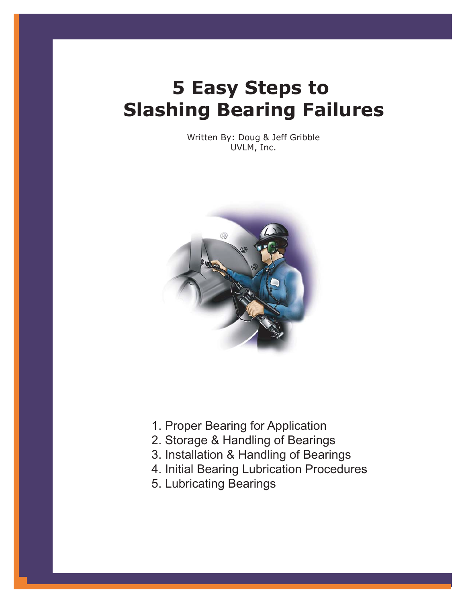# **5 Easy Steps to Slashing Bearing Failures**

Written By: Doug & Jeff Gribble UVLM, Inc.



- 1. Proper Bearing for Application
- 2. Storage & Handling of Bearings
- 3. Installation & Handling of Bearings
- 4. Initial Bearing Lubrication Procedures
- 5. Lubricating Bearings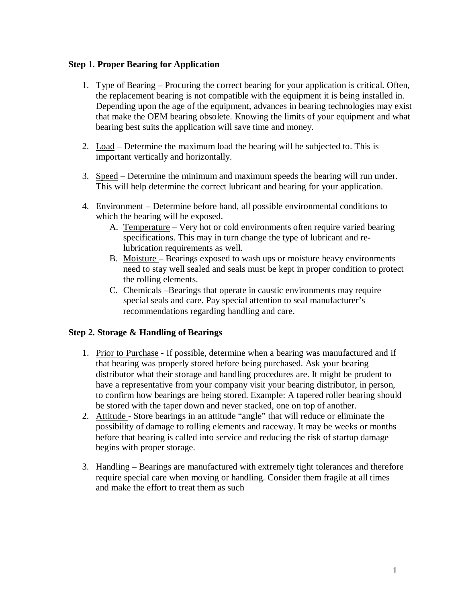## **Step 1. Proper Bearing for Application**

- 1. Type of Bearing Procuring the correct bearing for your application is critical. Often, the replacement bearing is not compatible with the equipment it is being installed in. Depending upon the age of the equipment, advances in bearing technologies may exist that make the OEM bearing obsolete. Knowing the limits of your equipment and what bearing best suits the application will save time and money.
- 2. Load Determine the maximum load the bearing will be subjected to. This is important vertically and horizontally.
- 3. Speed Determine the minimum and maximum speeds the bearing will run under. This will help determine the correct lubricant and bearing for your application.
- 4. Environment Determine before hand, all possible environmental conditions to which the bearing will be exposed.
	- A. Temperature Very hot or cold environments often require varied bearing specifications. This may in turn change the type of lubricant and relubrication requirements as well.
	- B. Moisture Bearings exposed to wash ups or moisture heavy environments need to stay well sealed and seals must be kept in proper condition to protect the rolling elements.
	- C. Chemicals –Bearings that operate in caustic environments may require special seals and care. Pay special attention to seal manufacturer's recommendations regarding handling and care.

## **Step 2. Storage & Handling of Bearings**

- 1. Prior to Purchase If possible, determine when a bearing was manufactured and if that bearing was properly stored before being purchased. Ask your bearing distributor what their storage and handling procedures are. It might be prudent to have a representative from your company visit your bearing distributor, in person, to confirm how bearings are being stored. Example: A tapered roller bearing should be stored with the taper down and never stacked, one on top of another.
- 2. Attitude Store bearings in an attitude "angle" that will reduce or eliminate the possibility of damage to rolling elements and raceway. It may be weeks or months before that bearing is called into service and reducing the risk of startup damage begins with proper storage.
- 3. Handling Bearings are manufactured with extremely tight tolerances and therefore require special care when moving or handling. Consider them fragile at all times and make the effort to treat them as such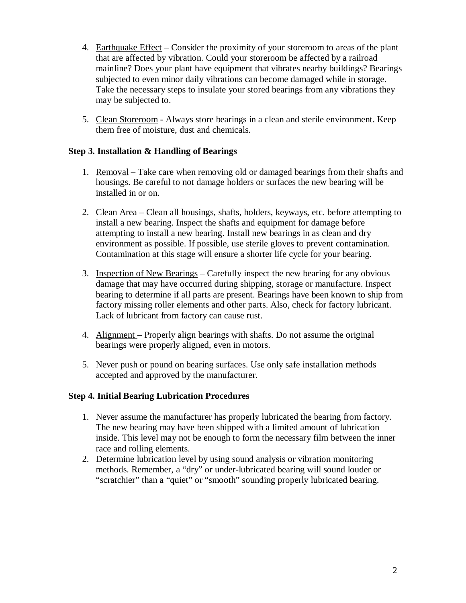- 4. Earthquake Effect Consider the proximity of your storeroom to areas of the plant that are affected by vibration. Could your storeroom be affected by a railroad mainline? Does your plant have equipment that vibrates nearby buildings? Bearings subjected to even minor daily vibrations can become damaged while in storage. Take the necessary steps to insulate your stored bearings from any vibrations they may be subjected to.
- 5. Clean Storeroom Always store bearings in a clean and sterile environment. Keep them free of moisture, dust and chemicals.

## **Step 3. Installation & Handling of Bearings**

- 1. Removal Take care when removing old or damaged bearings from their shafts and housings. Be careful to not damage holders or surfaces the new bearing will be installed in or on.
- 2. Clean Area Clean all housings, shafts, holders, keyways, etc. before attempting to install a new bearing. Inspect the shafts and equipment for damage before attempting to install a new bearing. Install new bearings in as clean and dry environment as possible. If possible, use sterile gloves to prevent contamination. Contamination at this stage will ensure a shorter life cycle for your bearing.
- 3. Inspection of New Bearings Carefully inspect the new bearing for any obvious damage that may have occurred during shipping, storage or manufacture. Inspect bearing to determine if all parts are present. Bearings have been known to ship from factory missing roller elements and other parts. Also, check for factory lubricant. Lack of lubricant from factory can cause rust.
- 4. Alignment Properly align bearings with shafts. Do not assume the original bearings were properly aligned, even in motors.
- 5. Never push or pound on bearing surfaces. Use only safe installation methods accepted and approved by the manufacturer.

### **Step 4. Initial Bearing Lubrication Procedures**

- 1. Never assume the manufacturer has properly lubricated the bearing from factory. The new bearing may have been shipped with a limited amount of lubrication inside. This level may not be enough to form the necessary film between the inner race and rolling elements.
- 2. Determine lubrication level by using sound analysis or vibration monitoring methods. Remember, a "dry" or under-lubricated bearing will sound louder or "scratchier" than a "quiet" or "smooth" sounding properly lubricated bearing.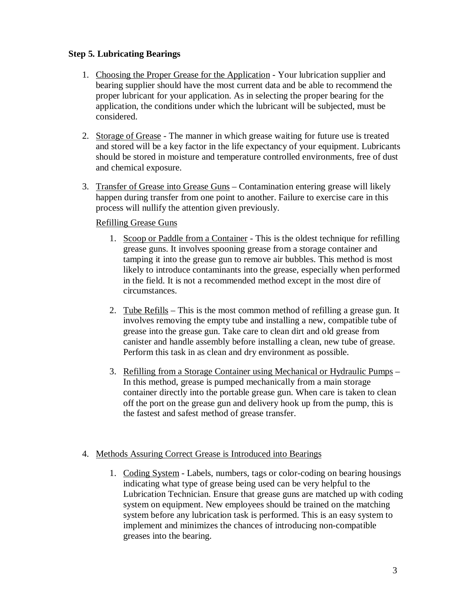## **Step 5. Lubricating Bearings**

- 1. Choosing the Proper Grease for the Application Your lubrication supplier and bearing supplier should have the most current data and be able to recommend the proper lubricant for your application. As in selecting the proper bearing for the application, the conditions under which the lubricant will be subjected, must be considered.
- 2. Storage of Grease The manner in which grease waiting for future use is treated and stored will be a key factor in the life expectancy of your equipment. Lubricants should be stored in moisture and temperature controlled environments, free of dust and chemical exposure.
- 3. Transfer of Grease into Grease Guns Contamination entering grease will likely happen during transfer from one point to another. Failure to exercise care in this process will nullify the attention given previously.

## Refilling Grease Guns

- 1. Scoop or Paddle from a Container This is the oldest technique for refilling grease guns. It involves spooning grease from a storage container and tamping it into the grease gun to remove air bubbles. This method is most likely to introduce contaminants into the grease, especially when performed in the field. It is not a recommended method except in the most dire of circumstances.
- 2. Tube Refills This is the most common method of refilling a grease gun. It involves removing the empty tube and installing a new, compatible tube of grease into the grease gun. Take care to clean dirt and old grease from canister and handle assembly before installing a clean, new tube of grease. Perform this task in as clean and dry environment as possible.
- 3. Refilling from a Storage Container using Mechanical or Hydraulic Pumps In this method, grease is pumped mechanically from a main storage container directly into the portable grease gun. When care is taken to clean off the port on the grease gun and delivery hook up from the pump, this is the fastest and safest method of grease transfer.

## 4. Methods Assuring Correct Grease is Introduced into Bearings

1. Coding System - Labels, numbers, tags or color-coding on bearing housings indicating what type of grease being used can be very helpful to the Lubrication Technician. Ensure that grease guns are matched up with coding system on equipment. New employees should be trained on the matching system before any lubrication task is performed. This is an easy system to implement and minimizes the chances of introducing non-compatible greases into the bearing.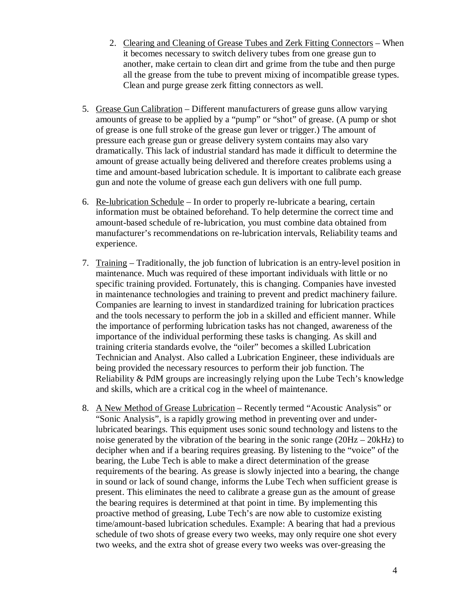- 2. Clearing and Cleaning of Grease Tubes and Zerk Fitting Connectors When it becomes necessary to switch delivery tubes from one grease gun to another, make certain to clean dirt and grime from the tube and then purge all the grease from the tube to prevent mixing of incompatible grease types. Clean and purge grease zerk fitting connectors as well.
- 5. Grease Gun Calibration Different manufacturers of grease guns allow varying amounts of grease to be applied by a "pump" or "shot" of grease. (A pump or shot of grease is one full stroke of the grease gun lever or trigger.) The amount of pressure each grease gun or grease delivery system contains may also vary dramatically. This lack of industrial standard has made it difficult to determine the amount of grease actually being delivered and therefore creates problems using a time and amount-based lubrication schedule. It is important to calibrate each grease gun and note the volume of grease each gun delivers with one full pump.
- 6. Re-lubrication Schedule In order to properly re-lubricate a bearing, certain information must be obtained beforehand. To help determine the correct time and amount-based schedule of re-lubrication, you must combine data obtained from manufacturer's recommendations on re-lubrication intervals, Reliability teams and experience.
- 7. Training Traditionally, the job function of lubrication is an entry-level position in maintenance. Much was required of these important individuals with little or no specific training provided. Fortunately, this is changing. Companies have invested in maintenance technologies and training to prevent and predict machinery failure. Companies are learning to invest in standardized training for lubrication practices and the tools necessary to perform the job in a skilled and efficient manner. While the importance of performing lubrication tasks has not changed, awareness of the importance of the individual performing these tasks is changing. As skill and training criteria standards evolve, the "oiler" becomes a skilled Lubrication Technician and Analyst. Also called a Lubrication Engineer, these individuals are being provided the necessary resources to perform their job function. The Reliability & PdM groups are increasingly relying upon the Lube Tech's knowledge and skills, which are a critical cog in the wheel of maintenance.
- 8. A New Method of Grease Lubrication Recently termed "Acoustic Analysis" or "Sonic Analysis", is a rapidly growing method in preventing over and underlubricated bearings. This equipment uses sonic sound technology and listens to the noise generated by the vibration of the bearing in the sonic range (20Hz – 20kHz) to decipher when and if a bearing requires greasing. By listening to the "voice" of the bearing, the Lube Tech is able to make a direct determination of the grease requirements of the bearing. As grease is slowly injected into a bearing, the change in sound or lack of sound change, informs the Lube Tech when sufficient grease is present. This eliminates the need to calibrate a grease gun as the amount of grease the bearing requires is determined at that point in time. By implementing this proactive method of greasing, Lube Tech's are now able to customize existing time/amount-based lubrication schedules. Example: A bearing that had a previous schedule of two shots of grease every two weeks, may only require one shot every two weeks, and the extra shot of grease every two weeks was over-greasing the